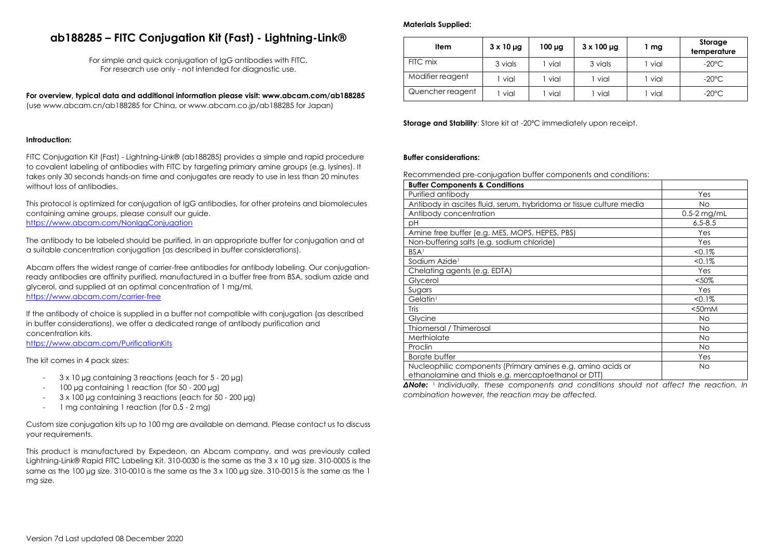# **ab188285 – FITC Conjugation Kit (Fast) - Lightning-Link®**

For simple and quick conjugation of IgG antibodies with FITC. For research use only - not intended for diagnostic use.

**For overview, typical data and additional information please visit: www.abcam.com/ab188285** (use www.abcam.cn/ab188285 for China, or www.abcam.co.jp/ab188285 for Japan)

## **Introduction:**

FITC Conjugation Kit (Fast) - Lightning-Link® (ab188285) provides a simple and rapid procedure to covalent labeling of antibodies with FITC by targeting primary amine groups (e.g. lysines). It takes only 30 seconds hands-on time and conjugates are ready to use in less than 20 minutes without loss of antibodies.

This protocol is optimized for conjugation of IgG antibodies, for other proteins and biomolecules containing amine groups, please consult our guide. <https://www.abcam.com/NonIggConjugation>

The antibody to be labeled should be purified, in an appropriate buffer for conjugation and at a suitable concentration conjugation (as described in buffer considerations).

Abcam offers the widest range of carrier-free antibodies for antibody labeling. Our conjugationready antibodies are affinity purified, manufactured in a buffer free from BSA, sodium azide and glycerol, and supplied at an optimal concentration of 1 mg/ml.

<https://www.abcam.com/carrier-free>

If the antibody of choice is supplied in a buffer not compatible with conjugation (as described in buffer considerations), we offer a dedicated range of antibody purification and concentration kits.

<https://www.abcam.com/PurificationKits>

The kit comes in 4 pack sizes:

- 3 x 10 µg containing 3 reactions (each for 5 20 µg)
- 100 µg containing 1 reaction (for 50 200 µg)
- 3 x 100 µg containing 3 reactions (each for 50 200 µg)
- 1 mg containing 1 reaction (for 0.5 2 mg)

Custom size conjugation kits up to 100 mg are available on demand. Please contact us to discuss your requirements.

This product is manufactured by Expedeon, an Abcam company, and was previously called Lightning-Link® Rapid FITC Labeling Kit. 310-0030 is the same as the 3 x 10 µg size. 310-0005 is the same as the 100 µg size. 310-0010 is the same as the 3 x 100 µg size. 310-0015 is the same as the 1 mg size.

#### **Materials Supplied:**

| Item             | $3 \times 10 \mu$ g | 100 µg | $3 \times 100 \mu$ g | mg   | Storage<br>temperature |
|------------------|---------------------|--------|----------------------|------|------------------------|
| FITC mix         | 3 vials             | vial   | 3 vials              | vial | $-20^{\circ}$ C        |
| Modifier reagent | vial                | vial   | vial                 | vial | $-20^{\circ}$ C        |
| Quencher reagent | vial                | vial   | vial                 | vial | $-20^{\circ}$ C        |

**Storage and Stability**: Store kit at -20°C immediately upon receipt.

#### **Buffer considerations:**

Recommended pre-conjugation buffer components and conditions:

| <b>Buffer Components &amp; Conditions</b>                                                                           |                   |
|---------------------------------------------------------------------------------------------------------------------|-------------------|
| Purified antibody                                                                                                   | Yes               |
| Antibody in ascites fluid, serum, hybridoma or tissue culture media                                                 | <b>No</b>         |
| Antibody concentration                                                                                              | $0.5-2$ mg/mL     |
| рH                                                                                                                  | $6.5 - 8.5$       |
| Amine free buffer (e.g. MES, MOPS, HEPES, PBS)                                                                      | Yes               |
| Non-buffering salts (e.g. sodium chloride)                                                                          | Yes               |
| <b>BSA</b>                                                                                                          | $< 0.1\%$         |
| Sodium Azide <sup>1</sup>                                                                                           | $< 0.1\%$         |
| Chelating agents (e.g. EDTA)                                                                                        | Yes               |
| Glycerol                                                                                                            | $< 50\%$          |
| Sugars                                                                                                              | Yes               |
| Gelatin <sup>1</sup>                                                                                                | $< 0.1\%$         |
| Tris                                                                                                                | <50 <sub>mm</sub> |
| Glycine                                                                                                             | <b>No</b>         |
| Thiomersal / Thimerosal                                                                                             | <b>No</b>         |
| Merthiolate                                                                                                         | <b>No</b>         |
| Proclin                                                                                                             | <b>No</b>         |
| Borate buffer                                                                                                       | Yes               |
| Nucleophilic components (Primary amines e.g. amino acids or<br>ethanolamine and thiols e.g. mercaptoethanol or DTT) | <b>No</b>         |

*ΔNote:* <sup>1</sup> *Individually, these components and conditions should not affect the reaction. In combination however, the reaction may be affected.*